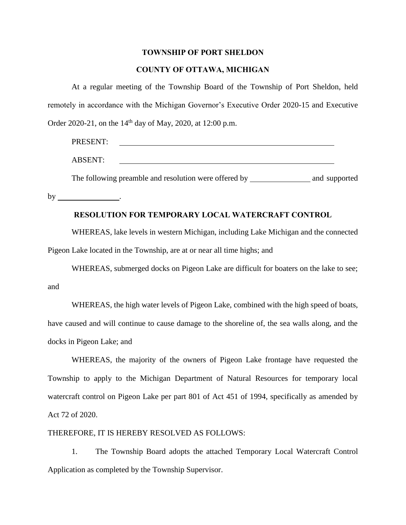#### **TOWNSHIP OF PORT SHELDON**

### **COUNTY OF OTTAWA, MICHIGAN**

At a regular meeting of the Township Board of the Township of Port Sheldon, held remotely in accordance with the Michigan Governor's Executive Order 2020-15 and Executive Order 2020-21, on the 14<sup>th</sup> day of May, 2020, at 12:00 p.m.

| PRESENT:       |  |                             |  |
|----------------|--|-----------------------------|--|
| <b>ABSENT:</b> |  |                             |  |
|                |  | $\sim$ $\sim$ $\sim$ $\sim$ |  |

The following preamble and resolution were offered by and supported

by \_\_\_\_\_\_\_\_\_\_\_\_\_\_\_\_.

# **RESOLUTION FOR TEMPORARY LOCAL WATERCRAFT CONTROL**

WHEREAS, lake levels in western Michigan, including Lake Michigan and the connected Pigeon Lake located in the Township, are at or near all time highs; and

WHEREAS, submerged docks on Pigeon Lake are difficult for boaters on the lake to see; and

WHEREAS, the high water levels of Pigeon Lake, combined with the high speed of boats, have caused and will continue to cause damage to the shoreline of, the sea walls along, and the docks in Pigeon Lake; and

WHEREAS, the majority of the owners of Pigeon Lake frontage have requested the Township to apply to the Michigan Department of Natural Resources for temporary local watercraft control on Pigeon Lake per part 801 of Act 451 of 1994, specifically as amended by Act 72 of 2020.

#### THEREFORE, IT IS HEREBY RESOLVED AS FOLLOWS:

1. The Township Board adopts the attached Temporary Local Watercraft Control Application as completed by the Township Supervisor.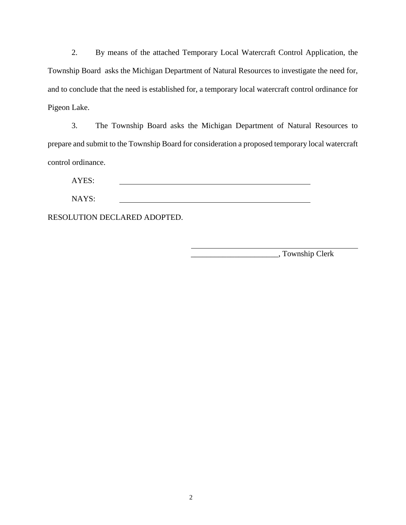2. By means of the attached Temporary Local Watercraft Control Application, the Township Board asks the Michigan Department of Natural Resources to investigate the need for, and to conclude that the need is established for, a temporary local watercraft control ordinance for Pigeon Lake.

3. The Township Board asks the Michigan Department of Natural Resources to prepare and submit to the Township Board for consideration a proposed temporary local watercraft control ordinance.

AYES:

NAYS:

RESOLUTION DECLARED ADOPTED.

\_\_\_\_\_\_\_\_\_\_\_\_\_\_\_\_\_\_\_\_\_\_, Township Clerk